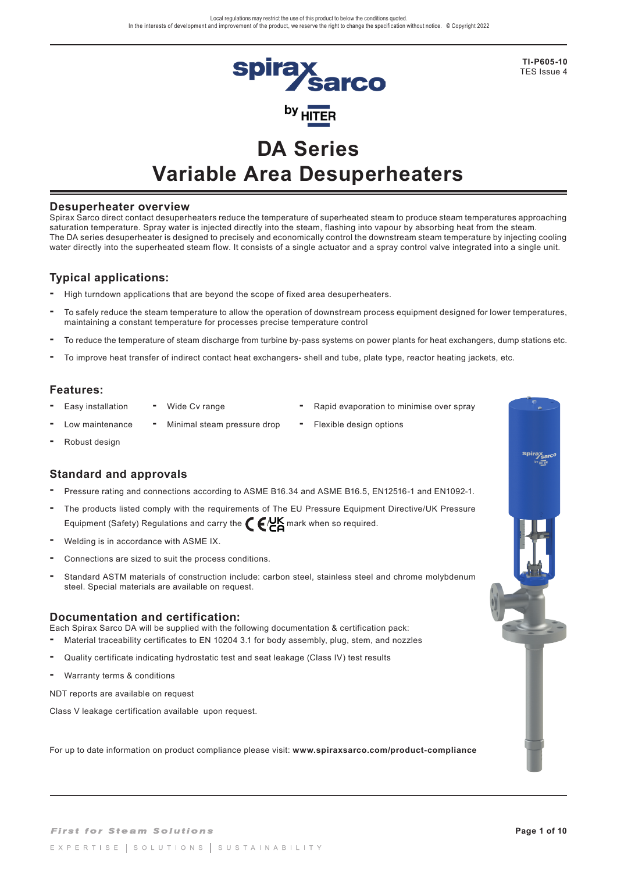

**TI-P605-10** TES Issue 4

# **DA Series Variable Area Desuperheaters**

#### **Desuperheater overview**

Spirax Sarco direct contact desuperheaters reduce the temperature of superheated steam to produce steam temperatures approaching saturation temperature. Spray water is injected directly into the steam, flashing into vapour by absorbing heat from the steam. The DA series desuperheater is designed to precisely and economically control the downstream steam temperature by injecting cooling water directly into the superheated steam flow. It consists of a single actuator and a spray control valve integrated into a single unit.

#### **Typical applications:**

- **-** High turndown applications that are beyond the scope of fixed area desuperheaters.
- To safely reduce the steam temperature to allow the operation of downstream process equipment designed for lower temperatures, maintaining a constant temperature for processes precise temperature control
- To reduce the temperature of steam discharge from turbine by-pass systems on power plants for heat exchangers, dump stations etc.
- To improve heat transfer of indirect contact heat exchangers- shell and tube, plate type, reactor heating jackets, etc.

## **Features:**

- 
- Easy installation Wide Cv range Rapid evaporation to minimise over spray
- Low maintenance Minimal steam pressure drop Flexible design options
- 
- 

**-** Robust design

#### **Standard and approvals**

- Pressure rating and connections according to ASME B16.34 and ASME B16.5, EN12516-1 and EN1092-1.
- The products listed comply with the requirements of The EU Pressure Equipment Directive/UK Pressure Equipment (Safety) Regulations and carry the  $\epsilon$   $\mu$   $\epsilon$  mark when so required.
- Welding is in accordance with ASME IX.
- Connections are sized to suit the process conditions.
- Standard ASTM materials of construction include: carbon steel, stainless steel and chrome molybdenum steel. Special materials are available on request.

#### **Documentation and certification:**

Each Spirax Sarco DA will be supplied with the following documentation & certification pack:

- Material traceability certificates to EN 10204 3.1 for body assembly, plug, stem, and nozzles
- Quality certificate indicating hydrostatic test and seat leakage (Class IV) test results
- Warranty terms & conditions

NDT reports are available on request

Class V leakage certification available upon request.

For up to date information on product compliance please visit: **www.spiraxsarco.com/product-compliance**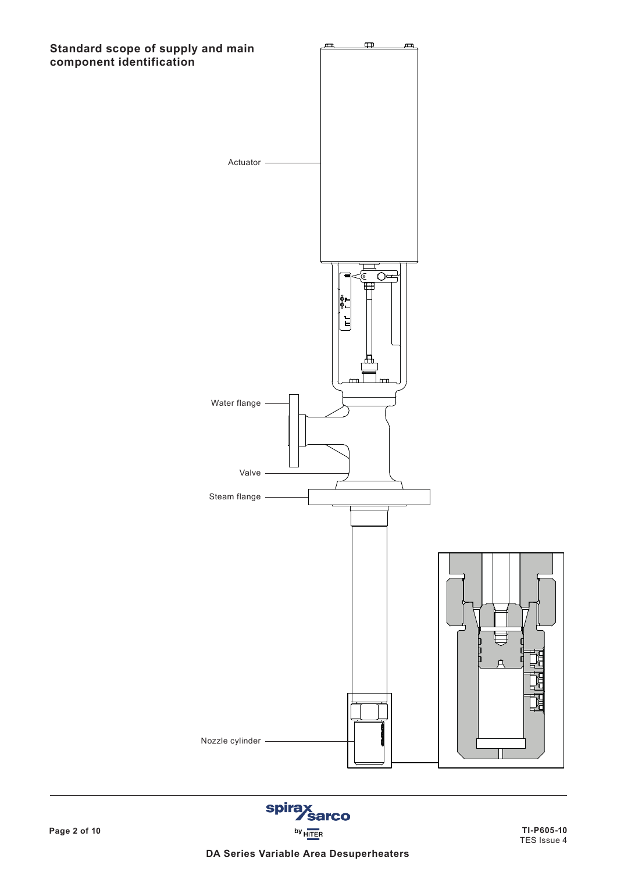

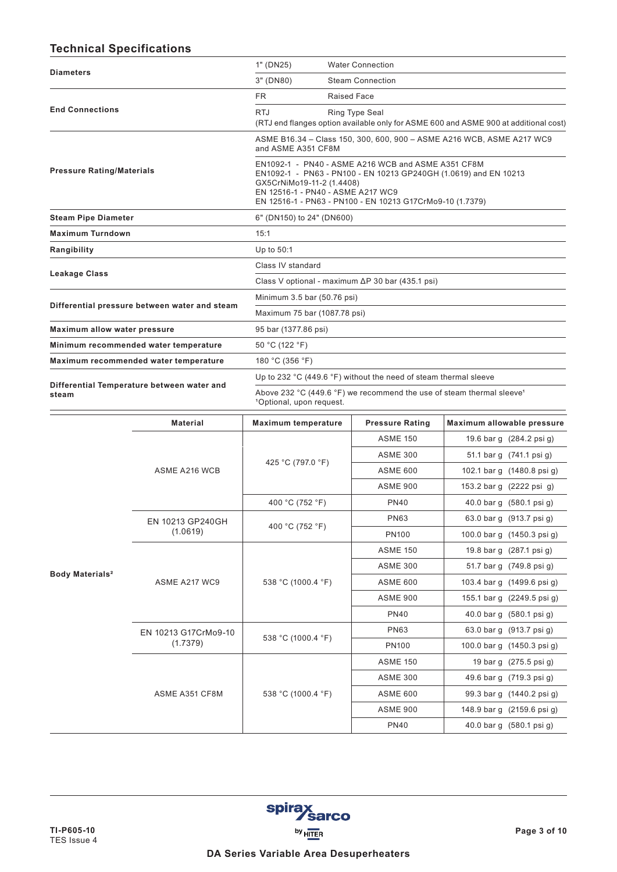# **Technical Specifications**

| <b>Diameters</b>                 |                                               | 1" (DN25)                                                                                                                                                                                                                                             | <b>Water Connection</b>                                               |                                                                                      |  |  |  |  |  |
|----------------------------------|-----------------------------------------------|-------------------------------------------------------------------------------------------------------------------------------------------------------------------------------------------------------------------------------------------------------|-----------------------------------------------------------------------|--------------------------------------------------------------------------------------|--|--|--|--|--|
|                                  |                                               | 3" (DN80)                                                                                                                                                                                                                                             | <b>Steam Connection</b>                                               |                                                                                      |  |  |  |  |  |
|                                  |                                               | FR.<br><b>Raised Face</b>                                                                                                                                                                                                                             |                                                                       |                                                                                      |  |  |  |  |  |
| <b>End Connections</b>           |                                               | <b>RTJ</b>                                                                                                                                                                                                                                            | Ring Type Seal                                                        | (RTJ end flanges option available only for ASME 600 and ASME 900 at additional cost) |  |  |  |  |  |
|                                  |                                               | and ASME A351 CF8M                                                                                                                                                                                                                                    | ASME B16.34 - Class 150, 300, 600, 900 - ASME A216 WCB, ASME A217 WC9 |                                                                                      |  |  |  |  |  |
| <b>Pressure Rating/Materials</b> |                                               | EN1092-1 - PN40 - ASME A216 WCB and ASME A351 CF8M<br>EN1092-1 - PN63 - PN100 - EN 10213 GP240GH (1.0619) and EN 10213<br>GX5CrNiMo19-11-2 (1.4408)<br>EN 12516-1 - PN40 - ASME A217 WC9<br>EN 12516-1 - PN63 - PN100 - EN 10213 G17CrMo9-10 (1.7379) |                                                                       |                                                                                      |  |  |  |  |  |
| <b>Steam Pipe Diameter</b>       |                                               | 6" (DN150) to 24" (DN600)                                                                                                                                                                                                                             |                                                                       |                                                                                      |  |  |  |  |  |
| <b>Maximum Turndown</b>          |                                               | 15:1                                                                                                                                                                                                                                                  |                                                                       |                                                                                      |  |  |  |  |  |
| Rangibility                      |                                               | Up to 50:1                                                                                                                                                                                                                                            |                                                                       |                                                                                      |  |  |  |  |  |
|                                  |                                               | Class IV standard                                                                                                                                                                                                                                     |                                                                       |                                                                                      |  |  |  |  |  |
| Leakage Class                    |                                               | Class V optional - maximum $\Delta P$ 30 bar (435.1 psi)                                                                                                                                                                                              |                                                                       |                                                                                      |  |  |  |  |  |
|                                  |                                               |                                                                                                                                                                                                                                                       | Minimum 3.5 bar (50.76 psi)                                           |                                                                                      |  |  |  |  |  |
|                                  | Differential pressure between water and steam | Maximum 75 bar (1087.78 psi)                                                                                                                                                                                                                          |                                                                       |                                                                                      |  |  |  |  |  |
| Maximum allow water pressure     |                                               | 95 bar (1377.86 psi)                                                                                                                                                                                                                                  |                                                                       |                                                                                      |  |  |  |  |  |
|                                  | Minimum recommended water temperature         | 50 °C (122 °F)                                                                                                                                                                                                                                        |                                                                       |                                                                                      |  |  |  |  |  |
|                                  | Maximum recommended water temperature         | 180 °C (356 °F)                                                                                                                                                                                                                                       |                                                                       |                                                                                      |  |  |  |  |  |
|                                  | Differential Temperature between water and    | Up to 232 °C (449.6 °F) without the need of steam thermal sleeve                                                                                                                                                                                      |                                                                       |                                                                                      |  |  |  |  |  |
| steam                            |                                               | Above 232 °C (449.6 °F) we recommend the use of steam thermal sleeve <sup>1</sup><br><sup>1</sup> Optional, upon request.                                                                                                                             |                                                                       |                                                                                      |  |  |  |  |  |
|                                  | <b>Material</b>                               | <b>Maximum temperature</b>                                                                                                                                                                                                                            | <b>Pressure Rating</b>                                                | Maximum allowable pressure                                                           |  |  |  |  |  |
|                                  |                                               |                                                                                                                                                                                                                                                       | <b>ASME 150</b>                                                       | 19.6 bar g (284.2 psi g)                                                             |  |  |  |  |  |
|                                  |                                               | 425 °C (797.0 °F)                                                                                                                                                                                                                                     | <b>ASME 300</b>                                                       | 51.1 bar g (741.1 psi g)                                                             |  |  |  |  |  |
|                                  | ASME A216 WCB                                 |                                                                                                                                                                                                                                                       | ASME 600                                                              | 102.1 barg (1480.8 psig)                                                             |  |  |  |  |  |
|                                  |                                               |                                                                                                                                                                                                                                                       | <b>ASME 900</b>                                                       | 153.2 barg (2222 psig)                                                               |  |  |  |  |  |
|                                  |                                               | 400 °C (752 °F)                                                                                                                                                                                                                                       | <b>PN40</b>                                                           | 40.0 bar g (580.1 psi g)                                                             |  |  |  |  |  |
|                                  | EN 10213 GP240GH                              | 400 °C (752 °F)                                                                                                                                                                                                                                       | <b>PN63</b>                                                           | 63.0 bar g (913.7 psi g)                                                             |  |  |  |  |  |
|                                  | (1.0619)                                      |                                                                                                                                                                                                                                                       | <b>PN100</b>                                                          | 100.0 bar g (1450.3 psi g)                                                           |  |  |  |  |  |
|                                  |                                               |                                                                                                                                                                                                                                                       | <b>ASME 150</b>                                                       | 19.8 bar g (287.1 psi g)                                                             |  |  |  |  |  |
| Body Materials <sup>2</sup>      |                                               |                                                                                                                                                                                                                                                       | <b>ASME 300</b>                                                       | 51.7 bar g (749.8 psi g)                                                             |  |  |  |  |  |
|                                  | ASME A217 WC9                                 | 538 °C (1000.4 °F)                                                                                                                                                                                                                                    | <b>ASME 600</b>                                                       | 103.4 barg (1499.6 psig)                                                             |  |  |  |  |  |
|                                  |                                               |                                                                                                                                                                                                                                                       | <b>ASME 900</b>                                                       | 155.1 bar g (2249.5 psi g)                                                           |  |  |  |  |  |
|                                  |                                               |                                                                                                                                                                                                                                                       | <b>PN40</b><br>40.0 bar g (580.1 psi g)                               |                                                                                      |  |  |  |  |  |
|                                  | EN 10213 G17CrMo9-10                          | 538 °C (1000.4 °F)                                                                                                                                                                                                                                    | <b>PN63</b>                                                           | 63.0 bar g (913.7 psi g)                                                             |  |  |  |  |  |
|                                  | (1.7379)                                      |                                                                                                                                                                                                                                                       | <b>PN100</b>                                                          | 100.0 bar g (1450.3 psi g)                                                           |  |  |  |  |  |
|                                  |                                               |                                                                                                                                                                                                                                                       | <b>ASME 150</b>                                                       | 19 bar g (275.5 psi g)                                                               |  |  |  |  |  |
|                                  |                                               |                                                                                                                                                                                                                                                       | <b>ASME 300</b>                                                       | 49.6 bar g (719.3 psi g)                                                             |  |  |  |  |  |
|                                  | ASME A351 CF8M                                | 538 °C (1000.4 °F)                                                                                                                                                                                                                                    | <b>ASME 600</b>                                                       | 99.3 bar g (1440.2 psi g)                                                            |  |  |  |  |  |
|                                  |                                               |                                                                                                                                                                                                                                                       | <b>ASME 900</b>                                                       | 148.9 bar g (2159.6 psi g)                                                           |  |  |  |  |  |
|                                  |                                               |                                                                                                                                                                                                                                                       | <b>PN40</b>                                                           | 40.0 bar g (580.1 psi g)                                                             |  |  |  |  |  |

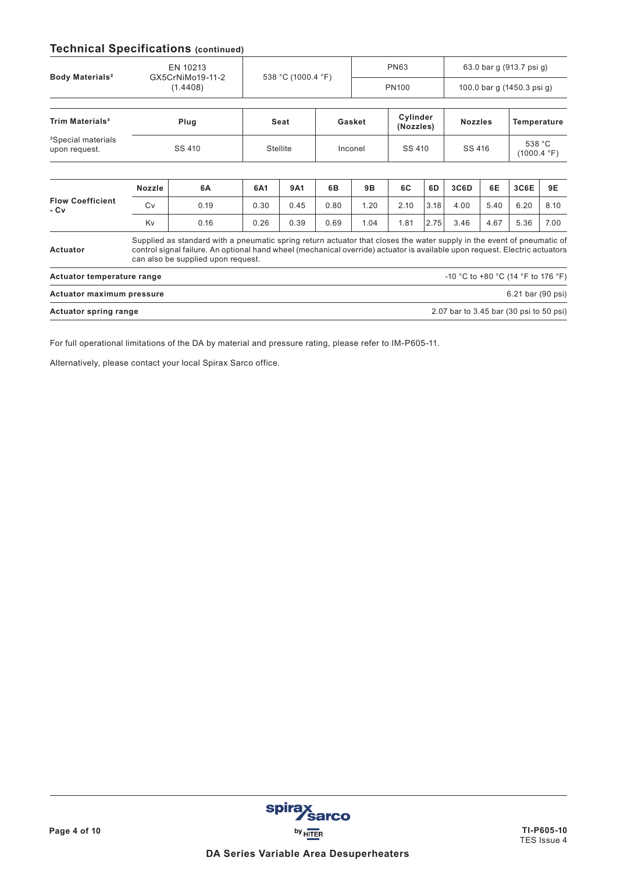# **Technical Specifications (continued)**

|                                                 |                                                                                                                                                                                                                                                                                             | EN 10213                     |                 | 538 °C (1000.4 °F) |            |        | <b>PN63</b>  |                       | 63.0 bar g (913.7 psi g)                |                            |                       |             |  |
|-------------------------------------------------|---------------------------------------------------------------------------------------------------------------------------------------------------------------------------------------------------------------------------------------------------------------------------------------------|------------------------------|-----------------|--------------------|------------|--------|--------------|-----------------------|-----------------------------------------|----------------------------|-----------------------|-------------|--|
| Body Materials <sup>2</sup>                     |                                                                                                                                                                                                                                                                                             | GX5CrNiMo19-11-2<br>(1.4408) |                 |                    |            |        | <b>PN100</b> |                       |                                         | 100.0 bar g (1450.3 psi g) |                       |             |  |
|                                                 |                                                                                                                                                                                                                                                                                             |                              |                 |                    |            |        |              |                       |                                         |                            |                       |             |  |
| <b>Trim Materials<sup>3</sup></b>               | Plug                                                                                                                                                                                                                                                                                        |                              |                 | Seat               |            | Gasket |              | Cylinder<br>(Nozzles) |                                         | <b>Nozzles</b>             |                       | Temperature |  |
| <sup>3</sup> Special materials<br>upon request. |                                                                                                                                                                                                                                                                                             | SS 410                       | <b>Stellite</b> |                    | Inconel    |        | SS 410       |                       | SS 416                                  |                            | 538 °C<br>(1000.4 °F) |             |  |
|                                                 |                                                                                                                                                                                                                                                                                             |                              |                 |                    |            |        |              |                       |                                         |                            |                       |             |  |
| <b>Flow Coefficient</b><br>- Cv                 | <b>Nozzle</b>                                                                                                                                                                                                                                                                               | 6A                           | 6A1             | 9A1                | 6 <b>B</b> | 9Β     | 6C           | 6D                    | 3C6D                                    | 6E                         | 3C6E                  | 9E          |  |
|                                                 | Cv                                                                                                                                                                                                                                                                                          | 0.19                         | 0.30            | 0.45               | 0.80       | 1.20   | 2.10         | 3.18                  | 4.00                                    | 5.40                       | 6.20                  | 8.10        |  |
|                                                 | Kv                                                                                                                                                                                                                                                                                          | 0.16                         | 0.26            | 0.39               | 0.69       | 1.04   | 1.81         | 2.75                  | 3.46                                    | 4.67                       | 5.36                  | 7.00        |  |
| Actuator                                        | Supplied as standard with a pneumatic spring return actuator that closes the water supply in the event of pneumatic of<br>control signal failure. An optional hand wheel (mechanical override) actuator is available upon request. Electric actuators<br>can also be supplied upon request. |                              |                 |                    |            |        |              |                       |                                         |                            |                       |             |  |
| Actuator temperature range                      |                                                                                                                                                                                                                                                                                             |                              |                 |                    |            |        |              |                       | -10 °C to +80 °C (14 °F to 176 °F)      |                            |                       |             |  |
| <b>Actuator maximum pressure</b>                |                                                                                                                                                                                                                                                                                             |                              |                 |                    |            |        |              |                       |                                         |                            | 6.21 bar (90 psi)     |             |  |
| <b>Actuator spring range</b>                    |                                                                                                                                                                                                                                                                                             |                              |                 |                    |            |        |              |                       | 2.07 bar to 3.45 bar (30 psi to 50 psi) |                            |                       |             |  |
|                                                 |                                                                                                                                                                                                                                                                                             |                              |                 |                    |            |        |              |                       |                                         |                            |                       |             |  |

For full operational limitations of the DA by material and pressure rating, please refer to IM-P605-11.

Alternatively, please contact your local Spirax Sarco office.

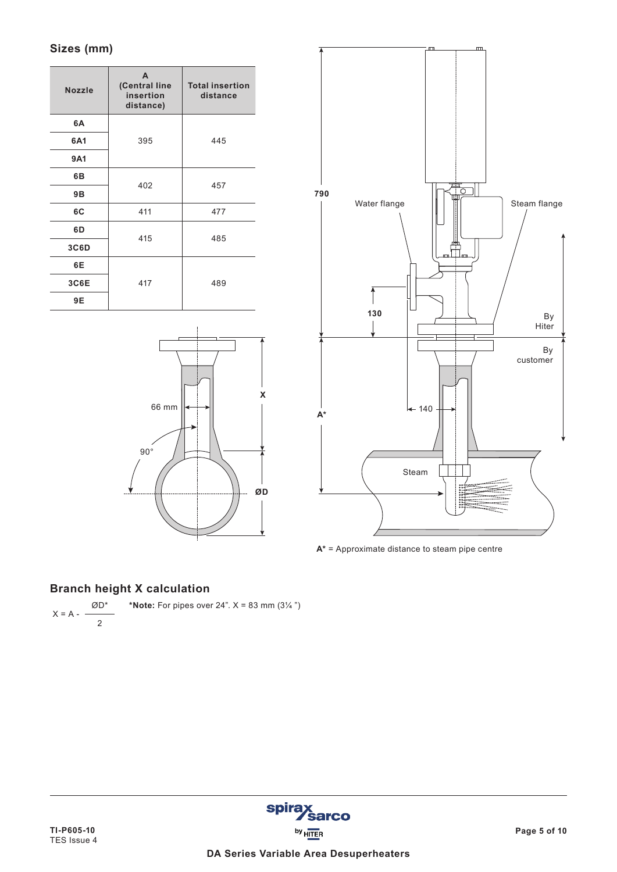# **Sizes (mm)**

| <b>Nozzle</b> | A<br>(Central line<br>insertion<br>distance) | <b>Total insertion</b><br>distance |  |  |  |
|---------------|----------------------------------------------|------------------------------------|--|--|--|
| 6A            |                                              |                                    |  |  |  |
| 6A1           | 395                                          | 445                                |  |  |  |
| <b>9A1</b>    |                                              |                                    |  |  |  |
| 6B            | 402                                          | 457                                |  |  |  |
| 9Β            |                                              |                                    |  |  |  |
| 6C            | 411                                          | 477                                |  |  |  |
| 6D            | 415                                          | 485                                |  |  |  |
| 3C6D          |                                              |                                    |  |  |  |
| 6E            |                                              |                                    |  |  |  |
| 3C6E          | 417                                          | 489                                |  |  |  |
| 9E            |                                              |                                    |  |  |  |





**A\*** = Approximate distance to steam pipe centre

# **Branch height X calculation**

$$
X = A - \frac{\emptyset D^*}{2}
$$
 \*Note: For pipes over 24".  $X = 83$  mm (3½")

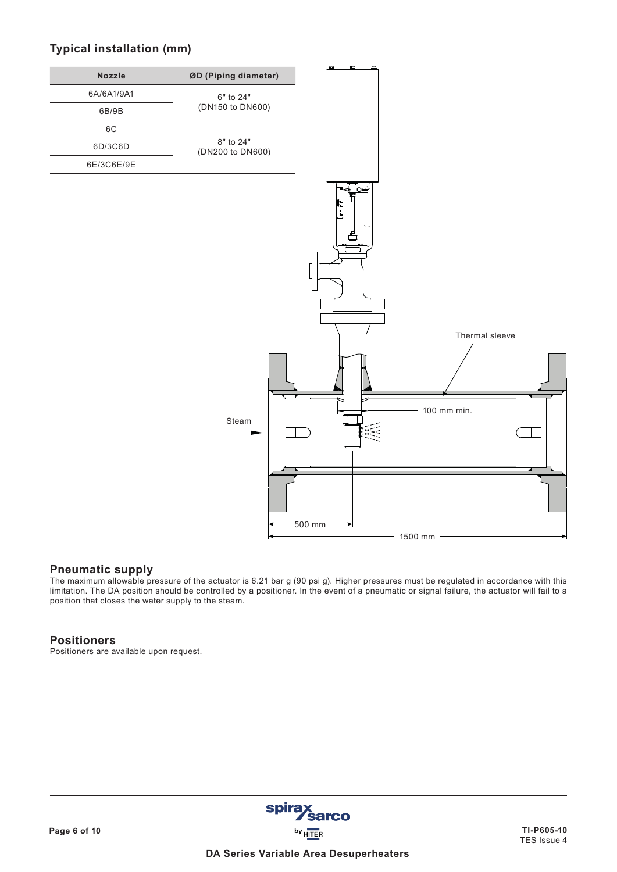# **Typical installation (mm)**



## **Pneumatic supply**

The maximum allowable pressure of the actuator is 6.21 bar g (90 psi g). Higher pressures must be regulated in accordance with this limitation. The DA position should be controlled by a positioner. In the event of a pneumatic or signal failure, the actuator will fail to a position that closes the water supply to the steam.

#### **Positioners**

Positioners are available upon request.

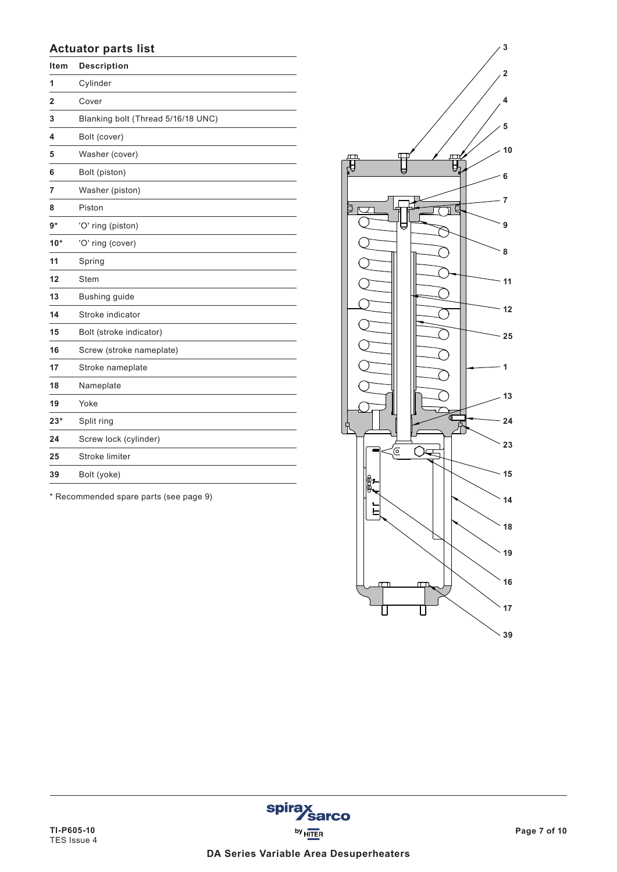## **Actuator parts list**

| ltem  | <b>Description</b>                 |
|-------|------------------------------------|
| 1     | Cylinder                           |
| 2     | Cover                              |
| 3     | Blanking bolt (Thread 5/16/18 UNC) |
| 4     | Bolt (cover)                       |
| 5     | Washer (cover)                     |
| 6     | Bolt (piston)                      |
| 7     | Washer (piston)                    |
| 8     | Piston                             |
| $9*$  | 'O' ring (piston)                  |
| $10*$ | 'O' ring (cover)                   |
| 11    | Spring                             |
| 12    | <b>Stem</b>                        |
| 13    | Bushing guide                      |
| 14    | Stroke indicator                   |
| 15    | Bolt (stroke indicator)            |
| 16    | Screw (stroke nameplate)           |
| 17    | Stroke nameplate                   |
| 18    | Nameplate                          |
| 19    | Yoke                               |
| $23*$ | Split ring                         |
| 24    | Screw lock (cylinder)              |
| 25    | Stroke limiter                     |
| 39    | Bolt (yoke)                        |
|       |                                    |

\* Recommended spare parts (see page 9)



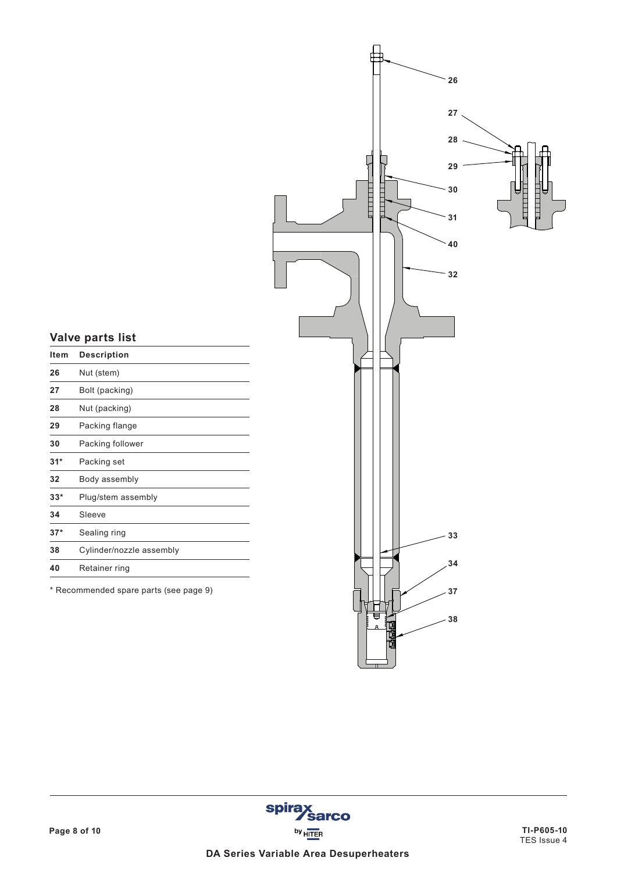

# **Valve parts list**

| Item  | <b>Description</b>       |
|-------|--------------------------|
| 26    | Nut (stem)               |
| 27    | Bolt (packing)           |
| 28    | Nut (packing)            |
| 29    | Packing flange           |
| 30    | Packing follower         |
| $31*$ | Packing set              |
| 32    | Body assembly            |
| $33*$ | Plug/stem assembly       |
| 34    | Sleeve                   |
| $37*$ | Sealing ring             |
| 38    | Cylinder/nozzle assembly |
| 40    | Retainer ring            |
|       |                          |

\* Recommended spare parts (see page 9)

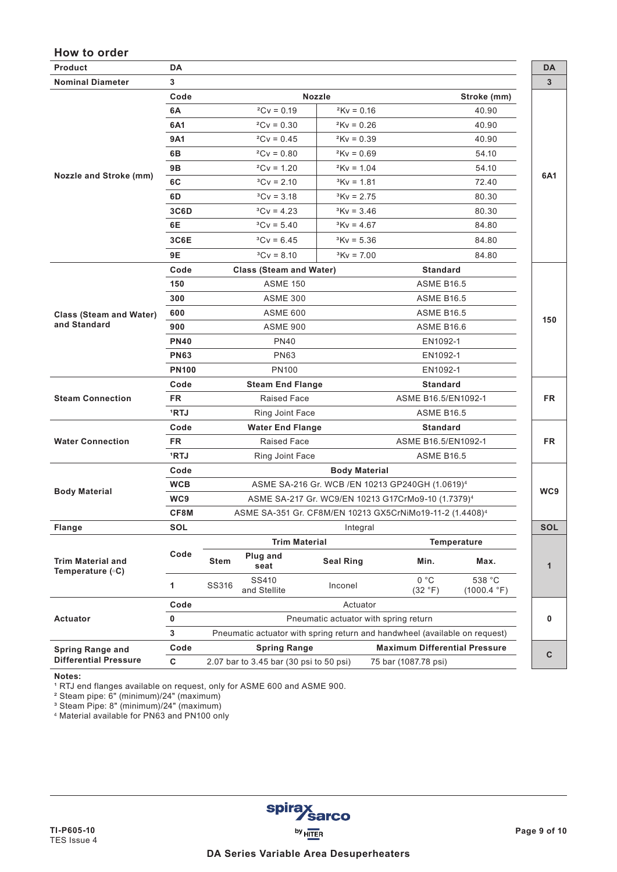## **How to order**

| Product                                      | DA           |                                                                            |               |                                                                      |                   | DA         |  |  |  |  |
|----------------------------------------------|--------------|----------------------------------------------------------------------------|---------------|----------------------------------------------------------------------|-------------------|------------|--|--|--|--|
| <b>Nominal Diameter</b>                      | 3            |                                                                            |               |                                                                      |                   | 3          |  |  |  |  |
|                                              | Code         |                                                                            | <b>Nozzle</b> |                                                                      | Stroke (mm)       |            |  |  |  |  |
|                                              | 6A           | $^2$ Cv = 0.19                                                             | $2Kv = 0.16$  |                                                                      | 40.90             |            |  |  |  |  |
|                                              | 6A1          | $^2$ Cv = 0.30                                                             | $2Kv = 0.26$  |                                                                      | 40.90             |            |  |  |  |  |
|                                              | 9A1          | $^2$ Cv = 0.45                                                             | $2$ Kv = 0.39 |                                                                      | 40.90             |            |  |  |  |  |
| <b>Nozzle and Stroke (mm)</b>                | 6В           | $^2$ Cv = 0.80                                                             | $2$ Kv = 0.69 |                                                                      | 54.10             |            |  |  |  |  |
|                                              | <b>9B</b>    | $^2$ Cv = 1.20                                                             | $2Kv = 1.04$  |                                                                      | 54.10             |            |  |  |  |  |
|                                              | 6C           | $^3$ Cv = 2.10                                                             | $Kv = 1.81$   |                                                                      | 72.40             | 6A1        |  |  |  |  |
|                                              | 6D           | $^3$ Cv = 3.18                                                             | $Kv = 2.75$   |                                                                      | 80.30             |            |  |  |  |  |
|                                              | 3C6D         | ${}^3$ Cv = 4.23                                                           | $Kv = 3.46$   |                                                                      | 80.30             |            |  |  |  |  |
|                                              | 6Е           | $^3$ Cv = 5.40                                                             | $Kv = 4.67$   |                                                                      | 84.80             |            |  |  |  |  |
|                                              | 3C6E         | $Cv = 6.45$                                                                | $Kv = 5.36$   |                                                                      | 84.80             |            |  |  |  |  |
|                                              | 9E           | $^3$ Cv = 8.10                                                             | $Kv = 7.00$   |                                                                      | 84.80             |            |  |  |  |  |
|                                              | Code         | <b>Class (Steam and Water)</b>                                             |               | <b>Standard</b>                                                      |                   |            |  |  |  |  |
|                                              | 150          | <b>ASME 150</b>                                                            |               |                                                                      | <b>ASME B16.5</b> |            |  |  |  |  |
|                                              | 300          | <b>ASME 300</b>                                                            |               | <b>ASME B16.5</b>                                                    |                   |            |  |  |  |  |
| <b>Class (Steam and Water)</b>               | 600          | <b>ASME 600</b>                                                            |               |                                                                      | <b>ASME B16.5</b> |            |  |  |  |  |
| and Standard                                 | 900          | <b>ASME 900</b>                                                            |               | <b>ASME B16.6</b>                                                    | 150               |            |  |  |  |  |
|                                              | <b>PN40</b>  | PN40                                                                       |               |                                                                      | EN1092-1          |            |  |  |  |  |
|                                              | <b>PN63</b>  | <b>PN63</b>                                                                |               |                                                                      | EN1092-1          |            |  |  |  |  |
|                                              | <b>PN100</b> | <b>PN100</b>                                                               |               | EN1092-1                                                             |                   |            |  |  |  |  |
|                                              | Code         | <b>Steam End Flange</b>                                                    |               | <b>Standard</b>                                                      |                   |            |  |  |  |  |
| <b>Steam Connection</b>                      | <b>FR</b>    | Raised Face                                                                |               | ASME B16.5/EN1092-1                                                  |                   | <b>FR</b>  |  |  |  |  |
|                                              | 1RTJ         | Ring Joint Face                                                            |               | <b>ASME B16.5</b>                                                    |                   |            |  |  |  |  |
|                                              | Code         | <b>Water End Flange</b>                                                    |               | <b>Standard</b>                                                      |                   |            |  |  |  |  |
| <b>Water Connection</b>                      | <b>FR</b>    | <b>Raised Face</b>                                                         |               | ASME B16.5/EN1092-1                                                  |                   | <b>FR</b>  |  |  |  |  |
|                                              | 1RTJ         | Ring Joint Face                                                            |               | <b>ASME B16.5</b>                                                    |                   |            |  |  |  |  |
|                                              | Code         | <b>Body Material</b>                                                       |               |                                                                      |                   |            |  |  |  |  |
|                                              | <b>WCB</b>   | ASME SA-216 Gr. WCB / EN 10213 GP240GH (1.0619) <sup>4</sup>               |               |                                                                      |                   |            |  |  |  |  |
| <b>Body Material</b>                         | WC9          |                                                                            |               | ASME SA-217 Gr. WC9/EN 10213 G17CrMo9-10 (1.7379) <sup>4</sup>       |                   | WC9        |  |  |  |  |
|                                              | CF8M         |                                                                            |               | ASME SA-351 Gr. CF8M/EN 10213 GX5CrNiMo19-11-2 (1.4408) <sup>4</sup> |                   |            |  |  |  |  |
| Flange                                       | <b>SOL</b>   |                                                                            | Integral      |                                                                      |                   | <b>SOL</b> |  |  |  |  |
|                                              |              | <b>Trim Material</b>                                                       | Temperature   |                                                                      |                   |            |  |  |  |  |
| <b>Trim Material and</b><br>Temperature (°C) | Code         | Plug and<br><b>Stem</b><br><b>Seal Ring</b><br>seat                        |               | Min.                                                                 | Max.              | 1          |  |  |  |  |
|                                              | 1            | SS410<br>SS316<br>Inconel<br>and Stellite                                  |               | 0 °C<br>538 °C<br>(32 °F)<br>(1000.4 °F)                             |                   |            |  |  |  |  |
|                                              | Code         |                                                                            | Actuator      |                                                                      |                   |            |  |  |  |  |
| <b>Actuator</b>                              | $\pmb{0}$    | Pneumatic actuator with spring return                                      |               |                                                                      |                   |            |  |  |  |  |
|                                              | $\mathsf 3$  | Pneumatic actuator with spring return and handwheel (available on request) |               |                                                                      |                   |            |  |  |  |  |
| <b>Spring Range and</b>                      | Code         | <b>Spring Range</b>                                                        |               | <b>Maximum Differential Pressure</b>                                 |                   | C          |  |  |  |  |
| <b>Differential Pressure</b>                 | C            | 2.07 bar to 3.45 bar (30 psi to 50 psi)<br>75 bar (1087.78 psi)            |               |                                                                      |                   |            |  |  |  |  |

**Notes:** 

 $^{\rm 1}$  RTJ end flanges available on request, only for ASME 600 and ASME 900.

² Steam pipe: 6" (minimum)/24" (maximum)

³ Steam Pipe: 8" (minimum)/24" (maximum)

4 Material available for PN63 and PN100 only